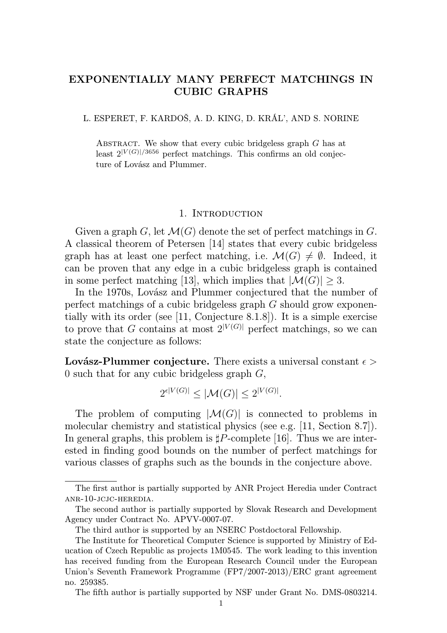# EXPONENTIALLY MANY PERFECT MATCHINGS IN CUBIC GRAPHS

L. ESPERET, F. KARDOŠ, A. D. KING, D. KRÁL', AND S. NORINE

ABSTRACT. We show that every cubic bridgeless graph  $G$  has at least  $2^{|V(G)|/3656}$  perfect matchings. This confirms an old conjecture of Lovász and Plummer.

#### 1. INTRODUCTION

Given a graph G, let  $\mathcal{M}(G)$  denote the set of perfect matchings in G. A classical theorem of Petersen [14] states that every cubic bridgeless graph has at least one perfect matching, i.e.  $\mathcal{M}(G) \neq \emptyset$ . Indeed, it can be proven that any edge in a cubic bridgeless graph is contained in some perfect matching [13], which implies that  $|\mathcal{M}(G)| \geq 3$ .

In the 1970s, Lovász and Plummer conjectured that the number of perfect matchings of a cubic bridgeless graph G should grow exponentially with its order (see [11, Conjecture 8.1.8]). It is a simple exercise to prove that G contains at most  $2^{|V(G)|}$  perfect matchings, so we can state the conjecture as follows:

**Lovász-Plummer conjecture.** There exists a universal constant  $\epsilon$ 0 such that for any cubic bridgeless graph  $G$ ,

$$
2^{\epsilon|V(G)|} \leq |\mathcal{M}(G)| \leq 2^{|V(G)|}.
$$

The problem of computing  $|\mathcal{M}(G)|$  is connected to problems in molecular chemistry and statistical physics (see e.g. [11, Section 8.7]). In general graphs, this problem is  $\sharp P$ -complete [16]. Thus we are interested in finding good bounds on the number of perfect matchings for various classes of graphs such as the bounds in the conjecture above.

The fifth author is partially supported by NSF under Grant No. DMS-0803214.

The first author is partially supported by ANR Project Heredia under Contract anr-10-jcjc-heredia.

The second author is partially supported by Slovak Research and Development Agency under Contract No. APVV-0007-07.

The third author is supported by an NSERC Postdoctoral Fellowship.

The Institute for Theoretical Computer Science is supported by Ministry of Education of Czech Republic as projects 1M0545. The work leading to this invention has received funding from the European Research Council under the European Union's Seventh Framework Programme (FP7/2007-2013)/ERC grant agreement no. 259385.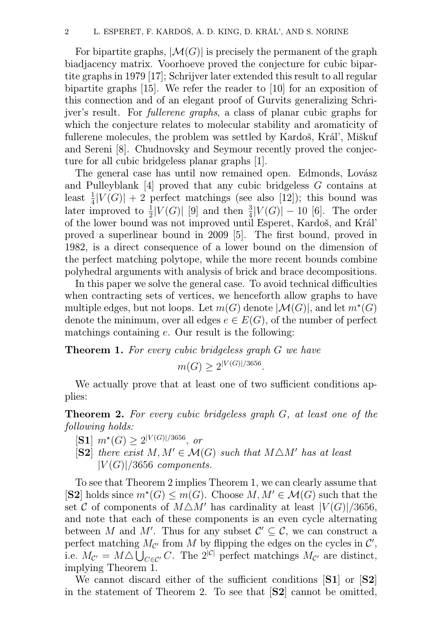For bipartite graphs,  $|M(G)|$  is precisely the permanent of the graph biadjacency matrix. Voorhoeve proved the conjecture for cubic bipartite graphs in 1979 [17]; Schrijver later extended this result to all regular bipartite graphs [15]. We refer the reader to [10] for an exposition of this connection and of an elegant proof of Gurvits generalizing Schrijver's result. For fullerene graphs, a class of planar cubic graphs for which the conjecture relates to molecular stability and aromaticity of fullerene molecules, the problem was settled by Kardoš, Král', Miškuf and Sereni [8]. Chudnovsky and Seymour recently proved the conjecture for all cubic bridgeless planar graphs [1].

The general case has until now remained open. Edmonds, Lovász and Pulleyblank [4] proved that any cubic bridgeless G contains at least  $\frac{1}{4}|V(G)| + 2$  perfect matchings (see also [12]); this bound was later improved to  $\frac{1}{2}|V(G)|$  [9] and then  $\frac{3}{4}|V(G)|-10$  [6]. The order of the lower bound was not improved until Esperet, Kardoš, and Král' proved a superlinear bound in 2009 [5]. The first bound, proved in 1982, is a direct consequence of a lower bound on the dimension of the perfect matching polytope, while the more recent bounds combine polyhedral arguments with analysis of brick and brace decompositions.

In this paper we solve the general case. To avoid technical difficulties when contracting sets of vertices, we henceforth allow graphs to have multiple edges, but not loops. Let  $m(G)$  denote  $|\mathcal{M}(G)|$ , and let  $m^*(G)$ denote the minimum, over all edges  $e \in E(G)$ , of the number of perfect matchings containing e. Our result is the following:

**Theorem 1.** For every cubic bridgeless graph G we have  $m(G) \geq 2^{|V(G)|/3656}.$ 

We actually prove that at least one of two sufficient conditions applies:

Theorem 2. For every cubic bridgeless graph G, at least one of the following holds:

- $[{\bf S1}]$   $m^*(G) \ge 2^{|V(G)|/3656}$ , or
- [S2] there exist  $M, M' \in \mathcal{M}(G)$  such that  $M \triangle M'$  has at least  $|V(G)|/3656$  components.

To see that Theorem 2 implies Theorem 1, we can clearly assume that [S2] holds since  $m^*(G) \leq m(G)$ . Choose  $M, M' \in \mathcal{M}(G)$  such that the set C of components of  $M\triangle M'$  has cardinality at least  $|V(G)|/3656$ , and note that each of these components is an even cycle alternating between M and M'. Thus for any subset  $\mathcal{C}' \subseteq \mathcal{C}$ , we can construct a perfect matching  $M_{\mathcal{C}}$  from M by flipping the edges on the cycles in  $\mathcal{C}'$ , i.e.  $M_{\mathcal{C}'} = M \triangle \bigcup_{C \in \mathcal{C}'} C$ . The  $2^{|\mathcal{C}|}$  perfect matchings  $M_{\mathcal{C}'}$  are distinct, implying Theorem 1.

We cannot discard either of the sufficient conditions [S1] or [S2] in the statement of Theorem 2. To see that [S2] cannot be omitted,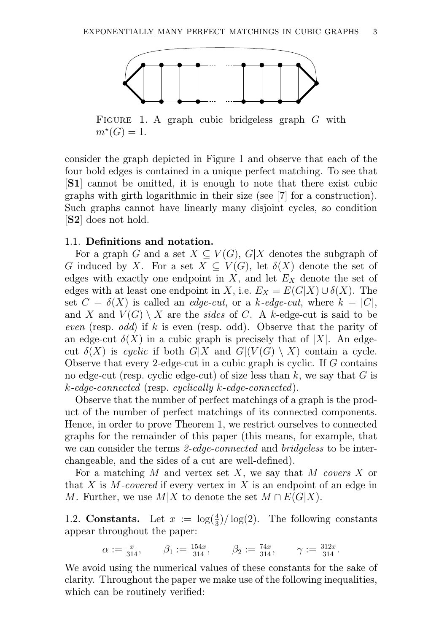

FIGURE 1. A graph cubic bridgeless graph G with  $m^*(G) = 1.$ 

consider the graph depicted in Figure 1 and observe that each of the four bold edges is contained in a unique perfect matching. To see that [S1] cannot be omitted, it is enough to note that there exist cubic graphs with girth logarithmic in their size (see [7] for a construction). Such graphs cannot have linearly many disjoint cycles, so condition [S2] does not hold.

## 1.1. Definitions and notation.

For a graph G and a set  $X \subseteq V(G)$ , G|X denotes the subgraph of G induced by X. For a set  $X \subseteq V(G)$ , let  $\delta(X)$  denote the set of edges with exactly one endpoint in X, and let  $E<sub>X</sub>$  denote the set of edges with at least one endpoint in X, i.e.  $E_X = E(G|X) \cup \delta(X)$ . The set  $C = \delta(X)$  is called an *edge-cut*, or a k-edge-cut, where  $k = |C|$ , and X and  $V(G) \setminus X$  are the sides of C. A k-edge-cut is said to be even (resp. odd) if k is even (resp. odd). Observe that the parity of an edge-cut  $\delta(X)$  in a cubic graph is precisely that of |X|. An edgecut  $\delta(X)$  is cyclic if both  $G|X$  and  $G|(V(G) \setminus X)$  contain a cycle. Observe that every 2-edge-cut in a cubic graph is cyclic. If G contains no edge-cut (resp. cyclic edge-cut) of size less than  $k$ , we say that  $G$  is  $k$ -edge-connected (resp. cyclically  $k$ -edge-connected).

Observe that the number of perfect matchings of a graph is the product of the number of perfect matchings of its connected components. Hence, in order to prove Theorem 1, we restrict ourselves to connected graphs for the remainder of this paper (this means, for example, that we can consider the terms 2-edge-connected and bridgeless to be interchangeable, and the sides of a cut are well-defined).

For a matching M and vertex set X, we say that M covers X or that X is M-covered if every vertex in X is an endpoint of an edge in M. Further, we use  $M|X$  to denote the set  $M \cap E(G|X)$ .

1.2. **Constants.** Let  $x := \log(\frac{4}{3})/\log(2)$ . The following constants appear throughout the paper:

$$
\alpha := \frac{x}{314}, \qquad \beta_1 := \frac{154x}{314}, \qquad \beta_2 := \frac{74x}{314}, \qquad \gamma := \frac{312x}{314}.
$$

We avoid using the numerical values of these constants for the sake of clarity. Throughout the paper we make use of the following inequalities, which can be routinely verified: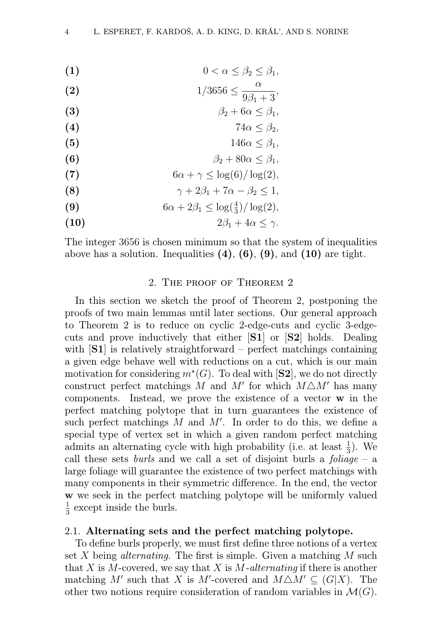$$
(1) \t\t\t 0 < \alpha \leq \beta_2 \leq \beta_1,
$$

(2) 
$$
1/3656 \le \frac{\alpha}{9\beta_1 + 3}
$$

- (3)  $\beta_2 + 6\alpha < \beta_1$ ,
- (4)  $74\alpha \leq \beta_2$
- (5)  $146\alpha \leq \beta_1$ ,
- (6)  $\beta_2 + 80\alpha \leq \beta_1$ ,
- (7)  $6\alpha + \gamma \leq \log(6)/\log(2),$
- (8)  $\gamma + 2\beta_1 + 7\alpha \beta_2 \le 1,$
- (9)  $6\alpha + 2\beta_1 \le \log(\frac{4}{3})/\log(2),$
- (10)  $2\beta_1 + 4\alpha < \gamma$ .

The integer 3656 is chosen minimum so that the system of inequalities above has a solution. Inequalities  $(4)$ ,  $(6)$ ,  $(9)$ , and  $(10)$  are tight.

## 2. The proof of Theorem 2

In this section we sketch the proof of Theorem 2, postponing the proofs of two main lemmas until later sections. Our general approach to Theorem 2 is to reduce on cyclic 2-edge-cuts and cyclic 3-edgecuts and prove inductively that either [S1] or [S2] holds. Dealing with  $[S1]$  is relatively straightforward – perfect matchings containing a given edge behave well with reductions on a cut, which is our main motivation for considering  $m^*(G)$ . To deal with [S2], we do not directly construct perfect matchings M and M' for which  $M\triangle M'$  has many components. Instead, we prove the existence of a vector w in the perfect matching polytope that in turn guarantees the existence of such perfect matchings  $M$  and  $M'$ . In order to do this, we define a special type of vertex set in which a given random perfect matching admits an alternating cycle with high probability (i.e. at least  $\frac{1}{3}$ ). We call these sets *burls* and we call a set of disjoint burls a *foliage* – a large foliage will guarantee the existence of two perfect matchings with many components in their symmetric difference. In the end, the vector w we seek in the perfect matching polytope will be uniformly valued 1  $\frac{1}{3}$  except inside the burls.

## 2.1. Alternating sets and the perfect matching polytope.

To define burls properly, we must first define three notions of a vertex set X being *alternating*. The first is simple. Given a matching  $M$  such that X is M-covered, we say that X is M-alternating if there is another matching M' such that X is M'-covered and  $M\triangle M' \subseteq (G|X)$ . The other two notions require consideration of random variables in  $\mathcal{M}(G)$ .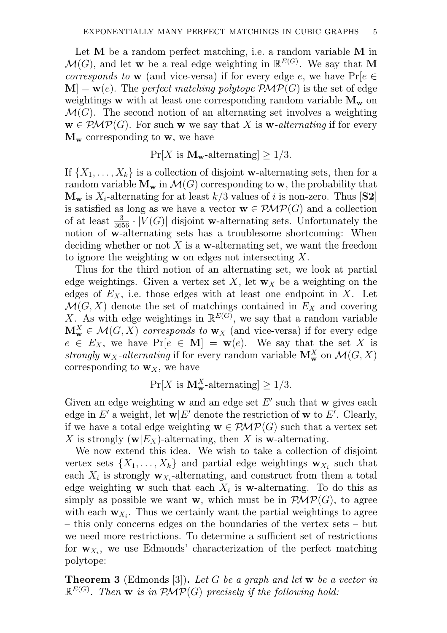Let M be a random perfect matching, i.e. a random variable M in  $\mathcal{M}(G)$ , and let **w** be a real edge weighting in  $\mathbb{R}^{E(G)}$ . We say that **M** corresponds to w (and vice-versa) if for every edge e, we have  $Pr[e \in$  $\mathbf{M} = \mathbf{w}(e)$ . The perfect matching polytope  $\mathcal{PMP}(G)$  is the set of edge weightings w with at least one corresponding random variable  $M_w$  on  $\mathcal{M}(G)$ . The second notion of an alternating set involves a weighting  $\mathbf{w} \in \mathcal{PMP}(G)$ . For such w we say that X is w-alternating if for every  $M_w$  corresponding to w, we have

 $Pr[X \text{ is } \mathbf{M}_{\mathbf{w}}\text{-alternating}] > 1/3.$ 

If  $\{X_1, \ldots, X_k\}$  is a collection of disjoint w-alternating sets, then for a random variable  $M_w$  in  $\mathcal{M}(G)$  corresponding to w, the probability that  $\mathbf{M}_{\mathbf{w}}$  is  $X_i$ -alternating for at least  $k/3$  values of i is non-zero. Thus  $[\mathbf{S2}]$ is satisfied as long as we have a vector  $\mathbf{w} \in \mathcal{PMP}(G)$  and a collection of at least  $\frac{3}{3656} \cdot |V(G)|$  disjoint w-alternating sets. Unfortunately the notion of w-alternating sets has a troublesome shortcoming: When deciding whether or not X is a w-alternating set, we want the freedom to ignore the weighting w on edges not intersecting X.

Thus for the third notion of an alternating set, we look at partial edge weightings. Given a vertex set X, let  $w<sub>X</sub>$  be a weighting on the edges of  $E<sub>X</sub>$ , i.e. those edges with at least one endpoint in X. Let  $\mathcal{M}(G, X)$  denote the set of matchings contained in  $E_X$  and covering X. As with edge weightings in  $\mathbb{R}^{E(G)}$ , we say that a random variable  $\mathbf{M}_{\mathbf{w}}^X \in \mathcal{M}(G,X)$  corresponds to  $\mathbf{w}_X$  (and vice-versa) if for every edge  $e \in E_X$ , we have  $Pr[e \in M] = w(e)$ . We say that the set X is strongly  $\mathbf{w}_X$ -alternating if for every random variable  $\mathbf{M}_\mathbf{w}^X$  on  $\mathcal{M}(G,X)$ corresponding to  $w<sub>X</sub>$ , we have

$$
\Pr[X \text{ is } \mathbf{M}_{\mathbf{w}}^X\text{-alternating}] \ge 1/3.
$$

Given an edge weighting  $w$  and an edge set  $E'$  such that  $w$  gives each edge in E' a weight, let  $\mathbf{w}|E'$  denote the restriction of  $\mathbf{w}$  to E'. Clearly, if we have a total edge weighting  $\mathbf{w} \in \mathcal{PMP}(G)$  such that a vertex set X is strongly  $(\mathbf{w}|E_X)$ -alternating, then X is w-alternating.

We now extend this idea. We wish to take a collection of disjoint vertex sets  $\{X_1, \ldots, X_k\}$  and partial edge weightings  $\mathbf{w}_{X_i}$  such that each  $X_i$  is strongly  $\mathbf{w}_{X_i}$ -alternating, and construct from them a total edge weighting **w** such that each  $X_i$  is **w**-alternating. To do this as simply as possible we want w, which must be in  $\mathcal{PMP}(G)$ , to agree with each  $w_{X_i}$ . Thus we certainly want the partial weightings to agree – this only concerns edges on the boundaries of the vertex sets – but we need more restrictions. To determine a sufficient set of restrictions for  $w_{X_i}$ , we use Edmonds' characterization of the perfect matching polytope:

**Theorem 3** (Edmonds [3]). Let G be a graph and let w be a vector in  $\mathbb{R}^{E(G)}$ . Then **w** is in  $\mathcal{PMP}(G)$  precisely if the following hold: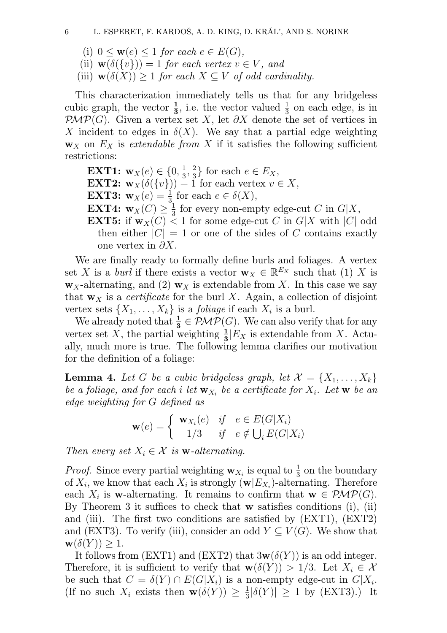- (i)  $0 \leq \mathbf{w}(e) \leq 1$  for each  $e \in E(G)$ ,
- (ii)  $\mathbf{w}(\delta({v}) = 1$  for each vertex  $v \in V$ , and
- (iii)  $\mathbf{w}(\delta(X)) \geq 1$  for each  $X \subseteq V$  of odd cardinality.

This characterization immediately tells us that for any bridgeless cubic graph, the vector  $\frac{1}{3}$ , i.e. the vector valued  $\frac{1}{3}$  on each edge, is in  $\mathcal{PMP}(G)$ . Given a vertex set X, let  $\partial X$  denote the set of vertices in X incident to edges in  $\delta(X)$ . We say that a partial edge weighting  **on**  $E<sub>X</sub>$  **is extendable from X if it satisfies the following sufficient** restrictions:

- **EXT1:**  $\mathbf{w}_X(e) \in \{0, \frac{1}{3}\}$  $\frac{1}{3}, \frac{2}{3}$  $\frac{2}{3}$  for each  $e \in E_X$ ,
- **EXT2:**  $\mathbf{w}_X(\delta({v})) = 1$  for each vertex  $v \in X$ ,
- **EXT3:**  $\mathbf{w}_X(e) = \frac{1}{3}$  for each  $e \in \delta(X)$ ,
- EXT4:  $\mathbf{w}_X(C) \geq \frac{1}{3}$  $\frac{1}{3}$  for every non-empty edge-cut C in  $G|X$ ,
- **EXT5:** if  $w_X(C) < 1$  for some edge-cut C in G|X with |C| odd then either  $|C| = 1$  or one of the sides of C contains exactly one vertex in  $\partial X$ .

We are finally ready to formally define burls and foliages. A vertex set X is a *burl* if there exists a vector  $\mathbf{w}_X \in \mathbb{R}^{E_X}$  such that (1) X is  $\mathbf{w}_X$ -alternating, and (2)  $\mathbf{w}_X$  is extendable from X. In this case we say that  $w<sub>X</sub>$  is a *certificate* for the burl X. Again, a collection of disjoint vertex sets  $\{X_1, \ldots, X_k\}$  is a *foliage* if each  $X_i$  is a burl.

We already noted that  $\frac{1}{3} \in \mathcal{PMP}(G)$ . We can also verify that for any vertex set X, the partial weighting  $\frac{1}{3}$   $E_X$  is extendable from X. Actually, much more is true. The following lemma clarifies our motivation for the definition of a foliage:

**Lemma 4.** Let G be a cubic bridgeless graph, let  $\mathcal{X} = \{X_1, \ldots, X_k\}$ be a foliage, and for each i let  $\mathbf{w}_{X_i}$  be a certificate for  $X_i$ . Let  $\mathbf{w}$  be an edge weighting for G defined as

$$
\mathbf{w}(e) = \begin{cases} \mathbf{w}_{X_i}(e) & \text{if } e \in E(G|X_i) \\ 1/3 & \text{if } e \notin \bigcup_i E(G|X_i) \end{cases}
$$

Then every set  $X_i \in \mathcal{X}$  is **w**-alternating.

*Proof.* Since every partial weighting  $w_{X_i}$  is equal to  $\frac{1}{3}$  on the boundary of  $X_i$ , we know that each  $X_i$  is strongly  $(\mathbf{w}|E_{X_i})$ -alternating. Therefore each  $X_i$  is w-alternating. It remains to confirm that  $\mathbf{w} \in \mathcal{PMP}(G)$ . By Theorem 3 it suffices to check that w satisfies conditions (i), (ii) and (iii). The first two conditions are satisfied by (EXT1), (EXT2) and (EXT3). To verify (iii), consider an odd  $Y \subseteq V(G)$ . We show that  $\mathbf{w}(\delta(Y)) \geq 1.$ 

It follows from  $(EXT1)$  and  $(EXT2)$  that  $3w(\delta(Y))$  is an odd integer. Therefore, it is sufficient to verify that  $\mathbf{w}(\delta(Y)) > 1/3$ . Let  $X_i \in \mathcal{X}$ be such that  $C = \delta(Y) \cap E(G|X_i)$  is a non-empty edge-cut in  $G|X_i$ . (If no such  $X_i$  exists then  $\mathbf{w}(\delta(Y)) \geq \frac{1}{3}$  $\frac{1}{3}|\delta(Y)| \geq 1$  by (EXT3).) It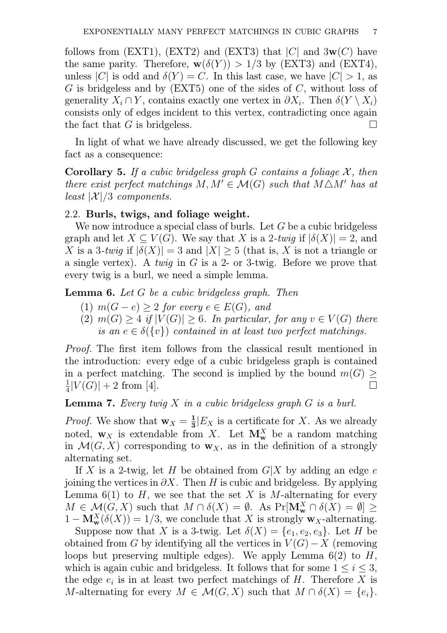follows from (EXT1), (EXT2) and (EXT3) that  $|C|$  and  $3w(C)$  have the same parity. Therefore,  $w(\delta(Y)) > 1/3$  by (EXT3) and (EXT4), unless |C| is odd and  $\delta(Y) = C$ . In this last case, we have  $|C| > 1$ , as  $G$  is bridgeless and by  $(EXT5)$  one of the sides of  $C$ , without loss of generality  $X_i \cap Y$ , contains exactly one vertex in  $\partial X_i$ . Then  $\delta(Y \setminus X_i)$ consists only of edges incident to this vertex, contradicting once again the fact that G is bridgeless.

In light of what we have already discussed, we get the following key fact as a consequence:

**Corollary 5.** If a cubic bridgeless graph G contains a foliage  $\mathcal{X}$ , then there exist perfect matchings  $M, M' \in \mathcal{M}(G)$  such that  $M \triangle M'$  has at least  $|\mathcal{X}|/3$  components.

## 2.2. Burls, twigs, and foliage weight.

We now introduce a special class of burls. Let G be a cubic bridgeless graph and let  $X \subseteq V(G)$ . We say that X is a 2-twig if  $|\delta(X)| = 2$ , and X is a 3-twig if  $|\delta(X)| = 3$  and  $|X| > 5$  (that is, X is not a triangle or a single vertex). A twig in G is a 2- or 3-twig. Before we prove that every twig is a burl, we need a simple lemma.

Lemma 6. Let G be a cubic bridgeless graph. Then

- (1)  $m(G e) \geq 2$  for every  $e \in E(G)$ , and
- (2)  $m(G) \geq 4$  if  $|V(G)| \geq 6$ . In particular, for any  $v \in V(G)$  there is an  $e \in \delta({v})$  contained in at least two perfect matchings.

Proof. The first item follows from the classical result mentioned in the introduction: every edge of a cubic bridgeless graph is contained in a perfect matching. The second is implied by the bound  $m(G) \ge \frac{1}{2}|V(G)| + 2$  from [4]. 1  $\frac{1}{4}|V(G)| + 2$  from [4].

**Lemma 7.** Every twig  $X$  in a cubic bridgeless graph  $G$  is a burl.

*Proof.* We show that  $\mathbf{w}_X = \frac{1}{3}$  $\frac{1}{3}$ |E<sub>X</sub> is a certificate for X. As we already noted,  $w_X$  is extendable from X. Let  $M_w^X$  be a random matching in  $\mathcal{M}(G, X)$  corresponding to  $\mathbf{w}_X$ , as in the definition of a strongly alternating set.

If X is a 2-twig, let H be obtained from  $G|X$  by adding an edge e joining the vertices in  $\partial X$ . Then H is cubic and bridgeless. By applying Lemma 6(1) to H, we see that the set X is M-alternating for every  $M \in \mathcal{M}(G,X)$  such that  $M \cap \delta(X) = \emptyset$ . As  $Pr[\mathbf{M}_{\mathbf{w}}^X \cap \delta(X) = \emptyset] \ge$  $1 - M_w^X(\delta(X)) = 1/3$ , we conclude that X is strongly  $w_X$ -alternating.

Suppose now that X is a 3-twig. Let  $\delta(X) = \{e_1, e_2, e_3\}$ . Let H be obtained from G by identifying all the vertices in  $V(G) - X$  (removing loops but preserving multiple edges). We apply Lemma  $6(2)$  to H, which is again cubic and bridgeless. It follows that for some  $1 \leq i \leq 3$ , the edge  $e_i$  is in at least two perfect matchings of H. Therefore X is M-alternating for every  $M \in \mathcal{M}(G,X)$  such that  $M \cap \delta(X) = \{e_i\}.$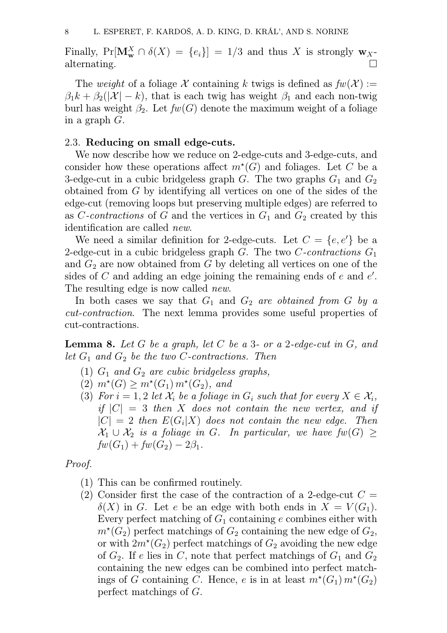Finally,  $Pr[\mathbf{M}_{\mathbf{w}}^X \cap \delta(X) = \{e_i\}] = 1/3$  and thus X is strongly  $\mathbf{w}_X$ . alternating.  $\Box$ 

The weight of a foliage X containing k twigs is defined as  $fw(X) :=$  $\beta_1 k + \beta_2(|\mathcal{X}| - k)$ , that is each twig has weight  $\beta_1$  and each non-twig burl has weight  $\beta_2$ . Let  $fw(G)$  denote the maximum weight of a foliage in a graph G.

#### 2.3. Reducing on small edge-cuts.

We now describe how we reduce on 2-edge-cuts and 3-edge-cuts, and consider how these operations affect  $m^*(G)$  and foliages. Let C be a 3-edge-cut in a cubic bridgeless graph G. The two graphs  $G_1$  and  $G_2$ obtained from G by identifying all vertices on one of the sides of the edge-cut (removing loops but preserving multiple edges) are referred to as C-contractions of G and the vertices in  $G_1$  and  $G_2$  created by this identification are called new.

We need a similar definition for 2-edge-cuts. Let  $C = \{e, e'\}$  be a 2-edge-cut in a cubic bridgeless graph  $G$ . The two  $C$ -contractions  $G_1$ and  $G_2$  are now obtained from G by deleting all vertices on one of the sides of  $C$  and adding an edge joining the remaining ends of  $e$  and  $e'$ . The resulting edge is now called *new*.

In both cases we say that  $G_1$  and  $G_2$  are obtained from G by a cut-contraction. The next lemma provides some useful properties of cut-contractions.

**Lemma 8.** Let  $G$  be a graph, let  $C$  be a 3- or a 2-edge-cut in  $G$ , and let  $G_1$  and  $G_2$  be the two C-contractions. Then

- (1)  $G_1$  and  $G_2$  are cubic bridgeless graphs,
- $(2)$   $m^*(G) \geq m^*(G_1) m^*(G_2)$ , and
- (3) For  $i = 1, 2$  let  $\mathcal{X}_i$  be a foliage in  $G_i$  such that for every  $X \in \mathcal{X}_i$ , if  $|C| = 3$  then X does not contain the new vertex, and if  $|C| = 2$  then  $E(G_i|X)$  does not contain the new edge. Then  $\mathcal{X}_1 \cup \mathcal{X}_2$  is a foliage in G. In particular, we have  $fw(G) \ge$  $fw(G_1) + fw(G_2) - 2\beta_1.$

Proof.

- (1) This can be confirmed routinely.
- (2) Consider first the case of the contraction of a 2-edge-cut  $C =$  $\delta(X)$  in G. Let e be an edge with both ends in  $X = V(G_1)$ . Every perfect matching of  $G_1$  containing e combines either with  $m^*(G_2)$  perfect matchings of  $G_2$  containing the new edge of  $G_2$ , or with  $2m^*(G_2)$  perfect matchings of  $G_2$  avoiding the new edge of  $G_2$ . If e lies in C, note that perfect matchings of  $G_1$  and  $G_2$ containing the new edges can be combined into perfect matchings of G containing C. Hence, e is in at least  $m^*(G_1) m^*(G_2)$ perfect matchings of G.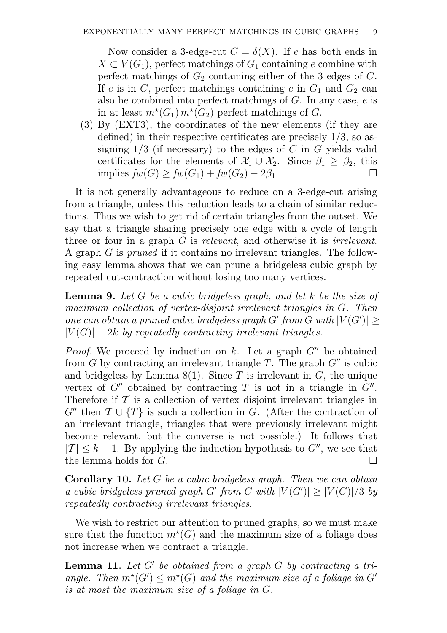Now consider a 3-edge-cut  $C = \delta(X)$ . If e has both ends in  $X \subset V(G_1)$ , perfect matchings of  $G_1$  containing e combine with perfect matchings of  $G_2$  containing either of the 3 edges of  $C$ . If e is in C, perfect matchings containing e in  $G_1$  and  $G_2$  can also be combined into perfect matchings of  $G$ . In any case,  $e$  is in at least  $m^*(G_1) m^*(G_2)$  perfect matchings of G.

(3) By (EXT3), the coordinates of the new elements (if they are defined) in their respective certificates are precisely 1/3, so assigning  $1/3$  (if necessary) to the edges of C in G yields valid certificates for the elements of  $\mathcal{X}_1 \cup \mathcal{X}_2$ . Since  $\beta_1 \geq \beta_2$ , this implies  $fw(G) > fw(G_1) + fw(G_2) - 2\beta_1$ . implies  $fw(G) \geq fw(G_1) + fw(G_2) - 2\beta_1$ .

It is not generally advantageous to reduce on a 3-edge-cut arising from a triangle, unless this reduction leads to a chain of similar reductions. Thus we wish to get rid of certain triangles from the outset. We say that a triangle sharing precisely one edge with a cycle of length three or four in a graph G is relevant, and otherwise it is irrelevant. A graph G is pruned if it contains no irrelevant triangles. The following easy lemma shows that we can prune a bridgeless cubic graph by repeated cut-contraction without losing too many vertices.

**Lemma 9.** Let G be a cubic bridgeless graph, and let k be the size of maximum collection of vertex-disjoint irrelevant triangles in G. Then one can obtain a pruned cubic bridgeless graph G' from G with  $|V(G')| \ge$  $|V(G)| - 2k$  by repeatedly contracting irrelevant triangles.

*Proof.* We proceed by induction on k. Let a graph  $G''$  be obtained from G by contracting an irrelevant triangle T. The graph  $G''$  is cubic and bridgeless by Lemma  $8(1)$ . Since T is irrelevant in G, the unique vertex of  $G''$  obtained by contracting  $T$  is not in a triangle in  $G''$ . Therefore if  $\mathcal T$  is a collection of vertex disjoint irrelevant triangles in  $G''$  then  $\mathcal{T} \cup \{T\}$  is such a collection in G. (After the contraction of an irrelevant triangle, triangles that were previously irrelevant might become relevant, but the converse is not possible.) It follows that  $|T| \leq k - 1$ . By applying the induction hypothesis to  $G''$ , we see that the lemma holds for  $G$ . the lemma holds for G.

Corollary 10. Let G be a cubic bridgeless graph. Then we can obtain a cubic bridgeless pruned graph G' from G with  $|V(G')| \geq |V(G)|/3$  by repeatedly contracting irrelevant triangles.

We wish to restrict our attention to pruned graphs, so we must make sure that the function  $m^*(G)$  and the maximum size of a foliage does not increase when we contract a triangle.

**Lemma 11.** Let  $G'$  be obtained from a graph  $G$  by contracting a triangle. Then  $m^*(G') \leq m^*(G)$  and the maximum size of a foliage in G' is at most the maximum size of a foliage in G.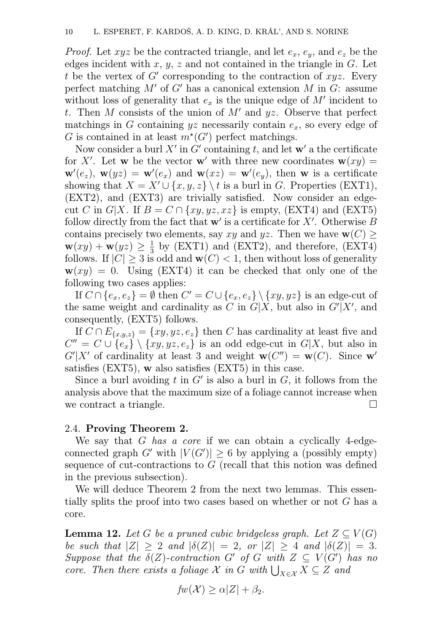*Proof.* Let  $xyz$  be the contracted triangle, and let  $e_x$ ,  $e_y$ , and  $e_z$  be the edges incident with  $x, y, z$  and not contained in the triangle in  $G$ . Let t be the vertex of  $G'$  corresponding to the contraction of  $xyz$ . Every perfect matching  $M'$  of  $G'$  has a canonical extension  $M$  in  $G$ : assume without loss of generality that  $e_x$  is the unique edge of  $M'$  incident to t. Then M consists of the union of  $M'$  and yz. Observe that perfect matchings in G containing  $yz$  necessarily contain  $e_x$ , so every edge of G is contained in at least  $m^*(G')$  perfect matchings.

Now consider a burl X' in G' containing t, and let  $\mathbf{w}'$  a the certificate for X'. Let w be the vector w' with three new coordinates  $w(xy) =$  $\mathbf{w}'(e_z)$ ,  $\mathbf{w}(yz) = \mathbf{w}'(e_x)$  and  $\mathbf{w}(xz) = \mathbf{w}'(e_y)$ , then w is a certificate showing that  $X = X' \cup \{x, y, z\} \setminus t$  is a burl in G. Properties (EXT1), (EXT2), and (EXT3) are trivially satisfied. Now consider an edgecut C in G|X. If  $B = C \cap \{xy, yz, xz\}$  is empty, (EXT4) and (EXT5) follow directly from the fact that  $\mathbf{w}'$  is a certificate for X'. Otherwise B contains precisely two elements, say xy and yz. Then we have  $w(C)$  $\mathbf{w}(xy) + \mathbf{w}(yz) \geq \frac{1}{3}$  $\frac{1}{3}$  by (EXT1) and (EXT2), and therefore, (EXT4) follows. If  $|C| \geq 3$  is odd and  $\mathbf{w}(C) < 1$ , then without loss of generality  $w(xy) = 0$ . Using (EXT4) it can be checked that only one of the following two cases applies:

If  $C \cap \{e_x, e_z\} = \emptyset$  then  $C' = C \cup \{e_x, e_z\} \setminus \{xy, yz\}$  is an edge-cut of the same weight and cardinality as C in  $G|X$ , but also in  $G'|X'$ , and consequently, (EXT5) follows.

If  $C \cap E_{\{x,y,z\}} = \{xy, yz, e_z\}$  then C has cardinality at least five and  $C'' = C \cup \{e_x\} \setminus \{xy, yz, e_z\}$  is an odd edge-cut in  $G|X$ , but also in  $G'|X'$  of cardinality at least 3 and weight  $\mathbf{w}(C'') = \mathbf{w}(C)$ . Since  $\mathbf{w}'$ satisfies (EXT5), w also satisfies (EXT5) in this case.

Since a burl avoiding  $t$  in  $G'$  is also a burl in  $G$ , it follows from the analysis above that the maximum size of a foliage cannot increase when we contract a triangle.  $\Box$ 

## 2.4. Proving Theorem 2.

We say that G has a core if we can obtain a cyclically 4-edgeconnected graph G' with  $|V(G')| \geq 6$  by applying a (possibly empty) sequence of cut-contractions to G (recall that this notion was defined in the previous subsection).

We will deduce Theorem 2 from the next two lemmas. This essentially splits the proof into two cases based on whether or not G has a core.

**Lemma 12.** Let G be a pruned cubic bridgeless graph. Let  $Z \subseteq V(G)$ be such that  $|Z| \geq 2$  and  $|\delta(Z)| = 2$ , or  $|Z| \geq 4$  and  $|\delta(Z)| = 3$ . Suppose that the  $\delta(Z)$ -contraction G' of G with  $Z \subseteq V(G')$  has no core. Then there exists a foliage  $\mathcal X$  in G with  $\bigcup_{X \in \mathcal X} X \subseteq Z$  and

$$
fw(\mathcal{X}) \ge \alpha |Z| + \beta_2.
$$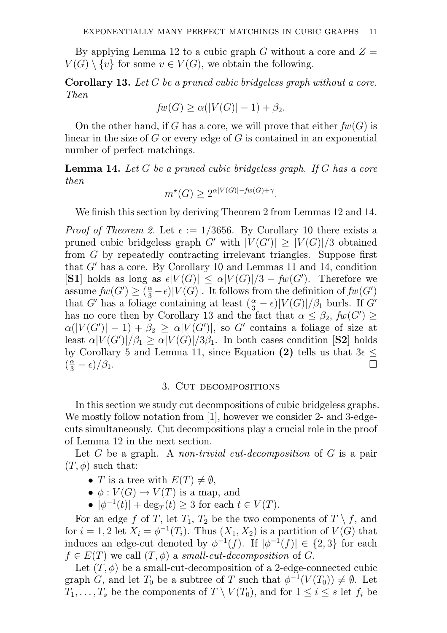By applying Lemma 12 to a cubic graph G without a core and  $Z =$  $V(G) \setminus \{v\}$  for some  $v \in V(G)$ , we obtain the following.

Corollary 13. Let G be a pruned cubic bridgeless graph without a core. Then

$$
fw(G) \ge \alpha(|V(G)| - 1) + \beta_2.
$$

On the other hand, if G has a core, we will prove that either  $fw(G)$  is linear in the size of  $G$  or every edge of  $G$  is contained in an exponential number of perfect matchings.

Lemma 14. Let G be a pruned cubic bridgeless graph. If G has a core then

$$
m^*(G) \ge 2^{\alpha |V(G)| - fw(G) + \gamma}.
$$

We finish this section by deriving Theorem 2 from Lemmas 12 and 14.

*Proof of Theorem 2.* Let  $\epsilon := 1/3656$ . By Corollary 10 there exists a pruned cubic bridgeless graph G' with  $|V(G')| \geq |V(G)|/3$  obtained from G by repeatedly contracting irrelevant triangles. Suppose first that  $G'$  has a core. By Corollary 10 and Lemmas 11 and 14, condition [S1] holds as long as  $\epsilon |V(G)| \leq \alpha |V(G)|/3 - fw(G')$ . Therefore we assume  $fw(G') \geq \left(\frac{\alpha}{3}\right)$  $\frac{\alpha}{3} - \epsilon$ |V(G)|. It follows from the definition of  $fw(G')$ that G' has a foliage containing at least  $(\frac{\alpha}{3})$  $\frac{\alpha}{3} - \epsilon$ )| $V(G)$ |/ $\beta_1$  burls. If  $G'$ has no core then by Corollary 13 and the fact that  $\alpha \leq \beta_2$ ,  $fw(G') \geq$  $\alpha(|V(G')|-1)+\beta_2 \geq \alpha|V(G')|$ , so G' contains a foliage of size at least  $\alpha |V(G')|/\beta_1 \ge \alpha |V(G)|/3\beta_1$ . In both cases condition [S2] holds by Corollary 5 and Lemma 11, since Equation (2) tells us that  $3\epsilon \leq$  $\left(\frac{\alpha}{3}\right)$ 3  $-\epsilon$ )/ $\beta_1$ .

#### 3. Cut decompositions

In this section we study cut decompositions of cubic bridgeless graphs. We mostly follow notation from [1], however we consider 2- and 3-edgecuts simultaneously. Cut decompositions play a crucial role in the proof of Lemma 12 in the next section.

Let  $G$  be a graph. A non-trivial cut-decomposition of  $G$  is a pair  $(T, \phi)$  such that:

- T is a tree with  $E(T) \neq \emptyset$ ,
- $\bullet \phi: V(G) \to V(T)$  is a map, and
- $|\phi^{-1}(t)| + \deg_T(t) \geq 3$  for each  $t \in V(T)$ .

For an edge f of T, let  $T_1$ ,  $T_2$  be the two components of  $T \setminus f$ , and for  $i = 1, 2$  let  $X_i = \phi^{-1}(T_i)$ . Thus  $(X_1, X_2)$  is a partition of  $V(G)$  that induces an edge-cut denoted by  $\phi^{-1}(f)$ . If  $|\phi^{-1}(f)| \in \{2,3\}$  for each  $f \in E(T)$  we call  $(T, \phi)$  a small-cut-decomposition of G.

Let  $(T, \phi)$  be a small-cut-decomposition of a 2-edge-connected cubic graph G, and let  $T_0$  be a subtree of T such that  $\phi^{-1}(V(T_0)) \neq \emptyset$ . Let  $T_1, \ldots, T_s$  be the components of  $T \setminus V(T_0)$ , and for  $1 \leq i \leq s$  let  $f_i$  be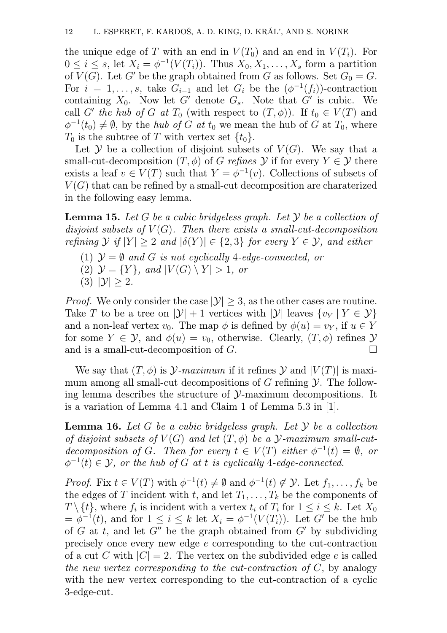the unique edge of T with an end in  $V(T_0)$  and an end in  $V(T_i)$ . For  $0 \leq i \leq s$ , let  $X_i = \phi^{-1}(V(T_i))$ . Thus  $X_0, X_1, \ldots, X_s$  form a partition of  $V(G)$ . Let G' be the graph obtained from G as follows. Set  $G_0 = G$ . For  $i = 1, \ldots, s$ , take  $G_{i-1}$  and let  $G_i$  be the  $(\phi^{-1}(f_i))$ -contraction containing  $X_0$ . Now let G' denote  $G_s$ . Note that G' is cubic. We call G' the hub of G at  $T_0$  (with respect to  $(T, \phi)$ ). If  $t_0 \in V(T)$  and  $\phi^{-1}(t_0) \neq \emptyset$ , by the *hub of G at*  $t_0$  we mean the hub of G at  $T_0$ , where  $T_0$  is the subtree of T with vertex set  $\{t_0\}.$ 

Let  $\mathcal Y$  be a collection of disjoint subsets of  $V(G)$ . We say that a small-cut-decomposition  $(T, \phi)$  of G refines Y if for every  $Y \in \mathcal{Y}$  there exists a leaf  $v \in V(T)$  such that  $Y = \phi^{-1}(v)$ . Collections of subsets of  $V(G)$  that can be refined by a small-cut decomposition are charaterized in the following easy lemma.

**Lemma 15.** Let G be a cubic bridgeless graph. Let  $Y$  be a collection of disjoint subsets of  $V(G)$ . Then there exists a small-cut-decomposition refining  $\mathcal Y$  if  $|Y| \geq 2$  and  $|\delta(Y)| \in \{2,3\}$  for every  $Y \in \mathcal Y$ , and either

- (1)  $\mathcal{Y} = \emptyset$  and G is not cyclically 4-edge-connected, or
- (2)  $\mathcal{Y} = \{Y\}$ , and  $|V(G) \setminus Y| > 1$ , or
- (3)  $|{\cal Y}| \ge 2$ .

*Proof.* We only consider the case  $|\mathcal{Y}| > 3$ , as the other cases are routine. Take T to be a tree on  $|\mathcal{Y}| + 1$  vertices with  $|\mathcal{Y}|$  leaves  $\{v_Y | Y \in \mathcal{Y}\}\$ and a non-leaf vertex  $v_0$ . The map  $\phi$  is defined by  $\phi(u) = v_Y$ , if  $u \in Y$ for some  $Y \in \mathcal{Y}$ , and  $\phi(u) = v_0$ , otherwise. Clearly,  $(T, \phi)$  refines  $\mathcal{Y}$  and is a small-cut-decomposition of G. and is a small-cut-decomposition of G.

We say that  $(T, \phi)$  is  $\mathcal{Y}$ -maximum if it refines  $\mathcal{Y}$  and  $|V(T)|$  is maximum among all small-cut decompositions of  $G$  refining  $\mathcal Y$ . The following lemma describes the structure of Y-maximum decompositions. It is a variation of Lemma 4.1 and Claim 1 of Lemma 5.3 in [1].

**Lemma 16.** Let G be a cubic bridgeless graph. Let  $\mathcal Y$  be a collection of disjoint subsets of  $V(G)$  and let  $(T, \phi)$  be a  $\mathcal{Y}$ -maximum small-cutdecomposition of G. Then for every  $t \in V(T)$  either  $\phi^{-1}(t) = \emptyset$ , or  $\phi^{-1}(t) \in \mathcal{Y}$ , or the hub of G at t is cyclically 4-edge-connected.

*Proof.* Fix  $t \in V(T)$  with  $\phi^{-1}(t) \neq \emptyset$  and  $\phi^{-1}(t) \notin \mathcal{Y}$ . Let  $f_1, \ldots, f_k$  be the edges of T incident with t, and let  $T_1, \ldots, T_k$  be the components of  $T \setminus \{t\}$ , where  $f_i$  is incident with a vertex  $t_i$  of  $T_i$  for  $1 \leq i \leq k$ . Let  $X_0$  $=\phi^{-1}(t)$ , and for  $1 \leq i \leq k$  let  $X_i = \phi^{-1}(V(T_i))$ . Let G' be the hub of G at t, and let  $G''$  be the graph obtained from  $G'$  by subdividing precisely once every new edge e corresponding to the cut-contraction of a cut C with  $|C| = 2$ . The vertex on the subdivided edge e is called the new vertex corresponding to the cut-contraction of  $C$ , by analogy with the new vertex corresponding to the cut-contraction of a cyclic 3-edge-cut.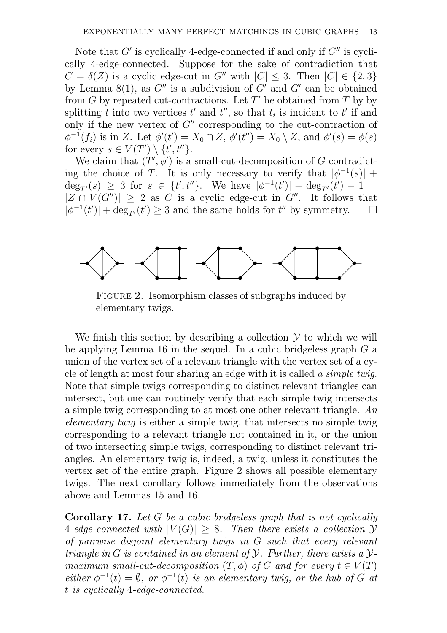Note that  $G'$  is cyclically 4-edge-connected if and only if  $G''$  is cyclically 4-edge-connected. Suppose for the sake of contradiction that  $C = \delta(Z)$  is a cyclic edge-cut in G'' with  $|C| \leq 3$ . Then  $|C| \in \{2,3\}$ by Lemma 8(1), as  $G''$  is a subdivision of  $G'$  and  $G'$  can be obtained from  $G$  by repeated cut-contractions. Let  $T'$  be obtained from  $T$  by by splitting t into two vertices t' and  $t'$ , so that  $t_i$  is incident to t' if and only if the new vertex of  $G''$  corresponding to the cut-contraction of  $\phi^{-1}(f_i)$  is in Z. Let  $\phi'(t') = X_0 \cap Z$ ,  $\phi'(t'') = X_0 \setminus Z$ , and  $\phi'(s) = \phi(s)$ for every  $s \in V(T') \setminus \{t', t''\}.$ 

We claim that  $(T', \phi')$  is a small-cut-decomposition of G contradicting the choice of T. It is only necessary to verify that  $|\phi^{-1}(s)| +$  $\deg_{T'}(s) \geq 3$  for  $s \in \{t', t''\}$ . We have  $|\phi^{-1}(t')| + \deg_{T'}(t') - 1 =$  $|Z \cap V(G'')| \geq 2$  as C is a cyclic edge-cut in G''. It follows that  $|\phi^{-1}(t')| + \deg_{\sigma'}(t') \geq 3$  and the same holds for  $t''$  by symmetry.  $|\phi^{-1}(t')| + \deg_{T'}(t') \geq 3$  and the same holds for  $t''$  by symmetry.  $\square$ 



FIGURE 2. Isomorphism classes of subgraphs induced by elementary twigs.

We finish this section by describing a collection  $\mathcal Y$  to which we will be applying Lemma 16 in the sequel. In a cubic bridgeless graph  $G$  a union of the vertex set of a relevant triangle with the vertex set of a cycle of length at most four sharing an edge with it is called a simple twig. Note that simple twigs corresponding to distinct relevant triangles can intersect, but one can routinely verify that each simple twig intersects a simple twig corresponding to at most one other relevant triangle. An elementary twig is either a simple twig, that intersects no simple twig corresponding to a relevant triangle not contained in it, or the union of two intersecting simple twigs, corresponding to distinct relevant triangles. An elementary twig is, indeed, a twig, unless it constitutes the vertex set of the entire graph. Figure 2 shows all possible elementary twigs. The next corollary follows immediately from the observations above and Lemmas 15 and 16.

Corollary 17. Let G be a cubic bridgeless graph that is not cyclically 4-edge-connected with  $|V(G)| \geq 8$ . Then there exists a collection Y of pairwise disjoint elementary twigs in G such that every relevant triangle in G is contained in an element of  $\mathcal Y$ . Further, there exists a  $\mathcal Y$ maximum small-cut-decomposition  $(T, \phi)$  of G and for every  $t \in V(T)$ either  $\phi^{-1}(t) = \emptyset$ , or  $\phi^{-1}(t)$  is an elementary twig, or the hub of G at t is cyclically 4-edge-connected.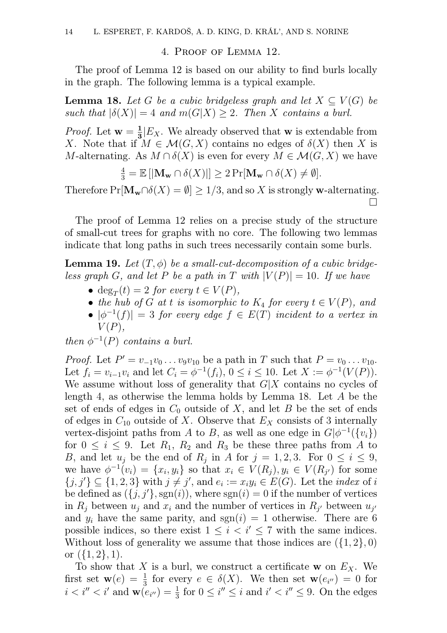#### 4. Proof of Lemma 12.

The proof of Lemma 12 is based on our ability to find burls locally in the graph. The following lemma is a typical example.

**Lemma 18.** Let G be a cubic bridgeless graph and let  $X \subseteq V(G)$  be such that  $|\delta(X)| = 4$  and  $m(G|X) \geq 2$ . Then X contains a burl.

*Proof.* Let  $w = \frac{1}{3}$  $\frac{1}{3}$  $E_X$ . We already observed that **w** is extendable from X. Note that if  $M \in \mathcal{M}(G,X)$  contains no edges of  $\delta(X)$  then X is M-alternating. As  $M \cap \delta(X)$  is even for every  $M \in \mathcal{M}(G, X)$  we have

$$
\frac{4}{3} = \mathbb{E}\left[|\mathbf{M}_{\mathbf{w}} \cap \delta(X)|\right] \geq 2 \Pr[\mathbf{M}_{\mathbf{w}} \cap \delta(X) \neq \emptyset].
$$

Therefore  $Pr[\mathbf{M}_{\mathbf{w}} \cap \delta(X) = \emptyset] \ge 1/3$ , and so X is strongly w-alternating.  $\Box$ 

The proof of Lemma 12 relies on a precise study of the structure of small-cut trees for graphs with no core. The following two lemmas indicate that long paths in such trees necessarily contain some burls.

**Lemma 19.** Let  $(T, \phi)$  be a small-cut-decomposition of a cubic bridgeless graph G, and let P be a path in T with  $|V(P)| = 10$ . If we have

- deg<sub>T</sub>(t) = 2 for every  $t \in V(P)$ ,
- the hub of G at t is isomorphic to  $K_4$  for every  $t \in V(P)$ , and
- $|\phi^{-1}(f)| = 3$  for every edge  $f \in E(T)$  incident to a vertex in  $V(P)$ ,

then  $\phi^{-1}(P)$  contains a burl.

*Proof.* Let  $P' = v_{-1}v_0 \ldots v_9v_{10}$  be a path in T such that  $P = v_0 \ldots v_{10}$ . Let  $f_i = v_{i-1}v_i$  and let  $C_i = \phi^{-1}(f_i)$ ,  $0 \le i \le 10$ . Let  $X := \phi^{-1}(V(P))$ . We assume without loss of generality that  $G/X$  contains no cycles of length 4, as otherwise the lemma holds by Lemma 18. Let A be the set of ends of edges in  $C_0$  outside of X, and let B be the set of ends of edges in  $C_{10}$  outside of X. Observe that  $E<sub>X</sub>$  consists of 3 internally vertex-disjoint paths from A to B, as well as one edge in  $G[\phi^{-1}(\{v_i\})]$ for  $0 \leq i \leq 9$ . Let  $R_1$ ,  $R_2$  and  $R_3$  be these three paths from A to B, and let  $u_j$  be the end of  $R_j$  in A for  $j = 1, 2, 3$ . For  $0 \le i \le 9$ , we have  $\phi^{-1}(v_i) = \{x_i, y_i\}$  so that  $x_i \in V(R_j), y_i \in V(R_{j'})$  for some  $\{j, j'\} \subseteq \{1, 2, 3\}$  with  $j \neq j'$ , and  $e_i := x_i y_i \in E(G)$ . Let the *index* of *i* be defined as  $({j, j', sgn(i)})$ , where sgn(i) = 0 if the number of vertices in  $R_j$  between  $u_j$  and  $x_i$  and the number of vertices in  $R_{j'}$  between  $u_{j'}$ and  $y_i$  have the same parity, and  $sgn(i) = 1$  otherwise. There are 6 possible indices, so there exist  $1 \leq i \leq i' \leq 7$  with the same indices. Without loss of generality we assume that those indices are  $({1, 2}, 0)$ or  $({1, 2}, 1)$ .

To show that X is a burl, we construct a certificate w on  $E<sub>X</sub>$ . We first set  $\mathbf{w}(e) = \frac{1}{3}$  for every  $e \in \delta(X)$ . We then set  $\mathbf{w}(e_{i''}) = 0$  for  $i < i'' < i'$  and  $\mathbf{w}(e_{i''}) = \frac{1}{3}$  for  $0 \leq i'' \leq i$  and  $i' < i'' \leq 9$ . On the edges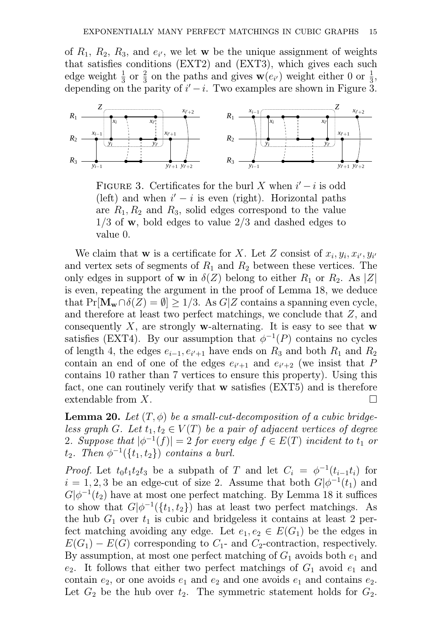of  $R_1$ ,  $R_2$ ,  $R_3$ , and  $e_{i'}$ , we let **w** be the unique assignment of weights that satisfies conditions (EXT2) and (EXT3), which gives each such edge weight  $\frac{1}{3}$  or  $\frac{2}{3}$  on the paths and gives  $\mathbf{w}(e_{i'})$  weight either 0 or  $\frac{1}{3}$ , depending on the parity of  $i'-i$ . Two examples are shown in Figure 3.



FIGURE 3. Certificates for the burl X when  $i'-i$  is odd (left) and when  $i'-i$  is even (right). Horizontal paths are  $R_1, R_2$  and  $R_3$ , solid edges correspond to the value  $1/3$  of w, bold edges to value  $2/3$  and dashed edges to value 0.

We claim that **w** is a certificate for X. Let Z consist of  $x_i, y_i, x_{i'}, y_{i'}$ and vertex sets of segments of  $R_1$  and  $R_2$  between these vertices. The only edges in support of **w** in  $\delta(Z)$  belong to either  $R_1$  or  $R_2$ . As |Z| is even, repeating the argument in the proof of Lemma 18, we deduce that  $Pr[\mathbf{M}_{\mathbf{w}} \cap \delta(Z) = \emptyset] \ge 1/3$ . As  $G|Z$  contains a spanning even cycle, and therefore at least two perfect matchings, we conclude that Z, and consequently X, are strongly w-alternating. It is easy to see that  $w$ satisfies (EXT4). By our assumption that  $\phi^{-1}(P)$  contains no cycles of length 4, the edges  $e_{i-1}, e_{i'+1}$  have ends on  $R_3$  and both  $R_1$  and  $R_2$ contain an end of one of the edges  $e_{i'+1}$  and  $e_{i'+2}$  (we insist that P contains 10 rather than 7 vertices to ensure this property). Using this fact, one can routinely verify that w satisfies (EXT5) and is therefore extendable from  $X$ .

**Lemma 20.** Let  $(T, \phi)$  be a small-cut-decomposition of a cubic bridgeless graph G. Let  $t_1, t_2 \in V(T)$  be a pair of adjacent vertices of degree 2. Suppose that  $|\phi^{-1}(f)| = 2$  for every edge  $f \in E(T)$  incident to  $t_1$  or  $t_2$ . Then  $\phi^{-1}(\lbrace t_1,t_2 \rbrace)$  contains a burl.

*Proof.* Let  $t_0 t_1 t_2 t_3$  be a subpath of T and let  $C_i = \phi^{-1}(t_{i-1} t_i)$  for  $i = 1, 2, 3$  be an edge-cut of size 2. Assume that both  $G[\phi^{-1}(t_1)]$  and  $G|\phi^{-1}(t_2)$  have at most one perfect matching. By Lemma 18 it suffices to show that  $G[\phi^{-1}(\{t_1, t_2\})]$  has at least two perfect matchings. As the hub  $G_1$  over  $t_1$  is cubic and bridgeless it contains at least 2 perfect matching avoiding any edge. Let  $e_1, e_2 \in E(G_1)$  be the edges in  $E(G_1) - E(G)$  corresponding to  $C_1$ - and  $C_2$ -contraction, respectively. By assumption, at most one perfect matching of  $G_1$  avoids both  $e_1$  and  $e_2$ . It follows that either two perfect matchings of  $G_1$  avoid  $e_1$  and contain  $e_2$ , or one avoids  $e_1$  and  $e_2$  and one avoids  $e_1$  and contains  $e_2$ . Let  $G_2$  be the hub over  $t_2$ . The symmetric statement holds for  $G_2$ .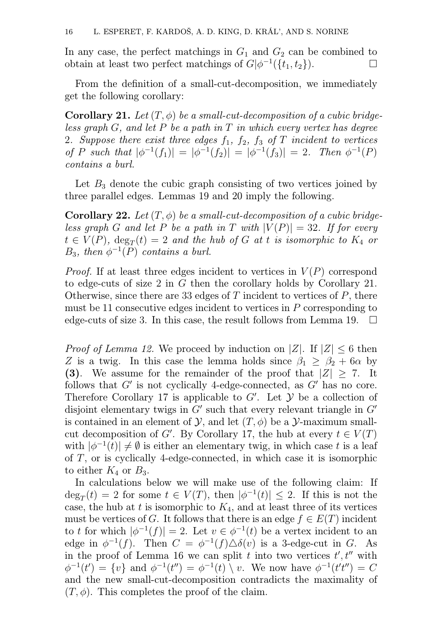In any case, the perfect matchings in  $G_1$  and  $G_2$  can be combined to obtain at least two perfect matchings of  $G|\phi^{-1}(\{t_1, t_2\})$ .

From the definition of a small-cut-decomposition, we immediately get the following corollary:

**Corollary 21.** Let  $(T, \phi)$  be a small-cut-decomposition of a cubic bridgeless graph  $G$ , and let P be a path in  $T$  in which every vertex has degree 2. Suppose there exist three edges  $f_1$ ,  $f_2$ ,  $f_3$  of T incident to vertices of P such that  $|\phi^{-1}(f_1)| = |\phi^{-1}(f_2)| = |\phi^{-1}(f_3)| = 2$ . Then  $\phi^{-1}(P)$ contains a burl.

Let  $B_3$  denote the cubic graph consisting of two vertices joined by three parallel edges. Lemmas 19 and 20 imply the following.

**Corollary 22.** Let  $(T, \phi)$  be a small-cut-decomposition of a cubic bridgeless graph G and let P be a path in T with  $|V(P)| = 32$ . If for every  $t \in V(P)$ ,  $\deg_T(t) = 2$  and the hub of G at t is isomorphic to  $K_4$  or  $B_3$ , then  $\phi^{-1}(P)$  contains a burl.

*Proof.* If at least three edges incident to vertices in  $V(P)$  correspond to edge-cuts of size 2 in G then the corollary holds by Corollary 21. Otherwise, since there are 33 edges of  $T$  incident to vertices of  $P$ , there must be 11 consecutive edges incident to vertices in  $P$  corresponding to edge-cuts of size 3. In this case, the result follows from Lemma 19.  $\Box$ 

*Proof of Lemma 12.* We proceed by induction on |Z|. If  $|Z| \leq 6$  then Z is a twig. In this case the lemma holds since  $\beta_1 \geq \beta_2 + 6\alpha$  by (3). We assume for the remainder of the proof that  $|Z| \ge 7$ . It follows that  $G'$  is not cyclically 4-edge-connected, as  $G'$  has no core. Therefore Corollary 17 is applicable to G'. Let  $\mathcal Y$  be a collection of disjoint elementary twigs in  $G'$  such that every relevant triangle in  $G'$ is contained in an element of  $\mathcal{Y}$ , and let  $(T, \phi)$  be a  $\mathcal{Y}$ -maximum smallcut decomposition of G'. By Corollary 17, the hub at every  $t \in V(T)$ with  $|\phi^{-1}(t)| \neq \emptyset$  is either an elementary twig, in which case t is a leaf of T, or is cyclically 4-edge-connected, in which case it is isomorphic to either  $K_4$  or  $B_3$ .

In calculations below we will make use of the following claim: If  $deg_T(t) = 2$  for some  $t \in V(T)$ , then  $|\phi^{-1}(t)| \leq 2$ . If this is not the case, the hub at t is isomorphic to  $K_4$ , and at least three of its vertices must be vertices of G. It follows that there is an edge  $f \in E(T)$  incident to t for which  $|\phi^{-1}(f)| = 2$ . Let  $v \in \phi^{-1}(t)$  be a vertex incident to an edge in  $\phi^{-1}(f)$ . Then  $C = \phi^{-1}(f) \triangle \delta(v)$  is a 3-edge-cut in G. As in the proof of Lemma 16 we can split t into two vertices  $t', t''$  with  $\phi^{-1}(t') = \{v\}$  and  $\phi^{-1}(t'') = \phi^{-1}(t) \setminus v$ . We now have  $\phi^{-1}(t't'') = C$ and the new small-cut-decomposition contradicts the maximality of  $(T, \phi)$ . This completes the proof of the claim.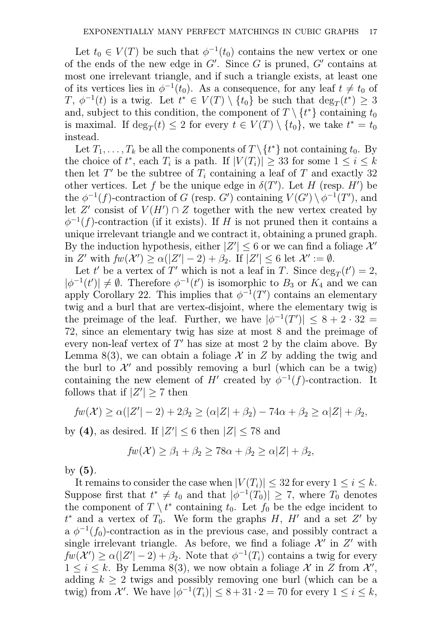Let  $t_0 \in V(T)$  be such that  $\phi^{-1}(t_0)$  contains the new vertex or one of the ends of the new edge in  $G'$ . Since G is pruned,  $G'$  contains at most one irrelevant triangle, and if such a triangle exists, at least one of its vertices lies in  $\phi^{-1}(t_0)$ . As a consequence, for any leaf  $t \neq t_0$  of  $T, \phi^{-1}(t)$  is a twig. Let  $t^* \in V(T) \setminus \{t_0\}$  be such that  $\deg_T(t^*) \geq 3$ and, subject to this condition, the component of  $T \setminus \{t^*\}$  containing  $t_0$ is maximal. If  $\deg_T(t) \leq 2$  for every  $t \in V(T) \setminus \{t_0\}$ , we take  $t^* = t_0$ instead.

Let  $T_1, \ldots, T_k$  be all the components of  $T \setminus \{t^*\}$  not containing  $t_0$ . By the choice of  $t^*$ , each  $T_i$  is a path. If  $|V(T_i)| \geq 33$  for some  $1 \leq i \leq k$ then let  $T'$  be the subtree of  $T_i$  containing a leaf of T and exactly 32 other vertices. Let f be the unique edge in  $\delta(T')$ . Let H (resp. H') be the  $\phi^{-1}(f)$ -contraction of G (resp. G') containing  $V(G') \setminus \phi^{-1}(T')$ , and let Z' consist of  $V(H') \cap Z$  together with the new vertex created by  $\phi^{-1}(f)$ -contraction (if it exists). If H is not pruned then it contains a unique irrelevant triangle and we contract it, obtaining a pruned graph. By the induction hypothesis, either  $|Z'| \leq 6$  or we can find a foliage  $\mathcal{X}'$ in Z' with  $fw(\mathcal{X}') \ge \alpha(|Z'|-2) + \beta_2$ . If  $|Z'| \le 6$  let  $\mathcal{X}' := \emptyset$ .

Let t' be a vertex of T' which is not a leaf in T. Since  $\deg_T(t') = 2$ ,  $|\phi^{-1}(t')| \neq \emptyset$ . Therefore  $\phi^{-1}(t')$  is isomorphic to  $B_3$  or  $K_4$  and we can apply Corollary 22. This implies that  $\phi^{-1}(T')$  contains an elementary twig and a burl that are vertex-disjoint, where the elementary twig is the preimage of the leaf. Further, we have  $|\phi^{-1}(T')| \leq 8 + 2 \cdot 32 =$ 72, since an elementary twig has size at most 8 and the preimage of every non-leaf vertex of  $T'$  has size at most 2 by the claim above. By Lemma 8(3), we can obtain a foliage  $\mathcal X$  in  $Z$  by adding the twig and the burl to  $\mathcal{X}'$  and possibly removing a burl (which can be a twig) containing the new element of H' created by  $\phi^{-1}(f)$ -contraction. It follows that if  $|Z'| \ge 7$  then

$$
fw(\mathcal{X}) \ge \alpha(|Z'|-2) + 2\beta_2 \ge (\alpha|Z| + \beta_2) - 74\alpha + \beta_2 \ge \alpha|Z| + \beta_2,
$$

by (4), as desired. If  $|Z'| \leq 6$  then  $|Z| \leq 78$  and

$$
fw(\mathcal{X}) \ge \beta_1 + \beta_2 \ge 78\alpha + \beta_2 \ge \alpha |Z| + \beta_2,
$$

by  $(5)$ .

It remains to consider the case when  $|V(T_i)| \leq 32$  for every  $1 \leq i \leq k$ . Suppose first that  $t^* \neq t_0$  and that  $|\phi^{-1}(T_0)| \geq 7$ , where  $T_0$  denotes the component of  $T \setminus t^*$  containing  $t_0$ . Let  $f_0$  be the edge incident to  $t^*$  and a vertex of  $T_0$ . We form the graphs  $H$ ,  $H'$  and a set  $Z'$  by a  $\phi^{-1}(f_0)$ -contraction as in the previous case, and possibly contract a single irrelevant triangle. As before, we find a foliage  $\mathcal{X}'$  in  $Z'$  with  $fw(\mathcal{X}') \ge \alpha(|\mathcal{Z}'|-2) + \beta_2$ . Note that  $\phi^{-1}(T_i)$  contains a twig for every  $1 \leq i \leq k$ . By Lemma 8(3), we now obtain a foliage  $\mathcal{X}$  in Z from  $\mathcal{X}'$ , adding  $k \geq 2$  twigs and possibly removing one burl (which can be a twig) from  $\mathcal{X}'$ . We have  $|\phi^{-1}(T_i)| \leq 8 + 31 \cdot 2 = 70$  for every  $1 \leq i \leq k$ ,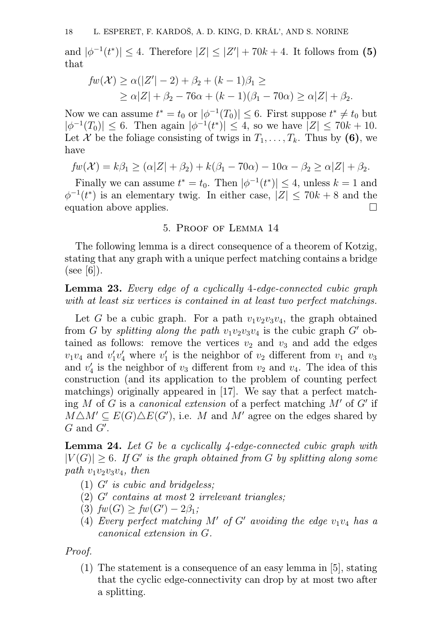and  $|\phi^{-1}(t^*)| \leq 4$ . Therefore  $|Z| \leq |Z'| + 70k + 4$ . It follows from (5) that

$$
fw(\mathcal{X}) \ge \alpha(|Z'|-2) + \beta_2 + (k-1)\beta_1 \ge
$$
  
 
$$
\ge \alpha|Z| + \beta_2 - 76\alpha + (k-1)(\beta_1 - 70\alpha) \ge \alpha|Z| + \beta_2.
$$

Now we can assume  $t^* = t_0$  or  $|\phi^{-1}(T_0)| \leq 6$ . First suppose  $t^* \neq t_0$  but  $|\phi^{-1}(T_0)| \leq 6$ . Then again  $|\phi^{-1}(t^*)| \leq 4$ , so we have  $|Z| \leq 70k + 10$ . Let X be the foliage consisting of twigs in  $T_1, \ldots, T_k$ . Thus by (6), we have

$$
fw(\mathcal{X}) = k\beta_1 \geq (\alpha|Z| + \beta_2) + k(\beta_1 - 70\alpha) - 10\alpha - \beta_2 \geq \alpha|Z| + \beta_2.
$$

Finally we can assume  $t^* = t_0$ . Then  $|\phi^{-1}(t^*)| \leq 4$ , unless  $k = 1$  and  $\phi^{-1}(t^*)$  is an elementary twig. In either case,  $|Z| \leq 70k + 8$  and the equation above applies.

## 5. Proof of Lemma 14

The following lemma is a direct consequence of a theorem of Kotzig, stating that any graph with a unique perfect matching contains a bridge  $(see [6]).$ 

Lemma 23. Every edge of a cyclically 4-edge-connected cubic graph with at least six vertices is contained in at least two perfect matchings.

Let G be a cubic graph. For a path  $v_1v_2v_3v_4$ , the graph obtained from G by splitting along the path  $v_1v_2v_3v_4$  is the cubic graph G' obtained as follows: remove the vertices  $v_2$  and  $v_3$  and add the edges  $v_1v_4$  and  $v'_1$  $v_1'v_4'$  where  $v_1'$  $y_1'$  is the neighbor of  $v_2$  different from  $v_1$  and  $v_3$ and  $v'_{4}$  $\frac{1}{4}$  is the neighbor of  $v_3$  different from  $v_2$  and  $v_4$ . The idea of this construction (and its application to the problem of counting perfect matchings) originally appeared in [17]. We say that a perfect matching M of G is a canonical extension of a perfect matching  $M'$  of G' if  $M\triangle M' \subseteq E(G)\triangle E(G')$ , i.e. M and M' agree on the edges shared by  $G$  and  $G'$ .

Lemma 24. Let G be a cyclically 4-edge-connected cubic graph with  $|V(G)| \geq 6$ . If G' is the graph obtained from G by splitting along some path  $v_1v_2v_3v_4$ , then

- (1)  $G'$  is cubic and bridgeless;
- $(2)$   $G'$  contains at most 2 irrelevant triangles;
- (3)  $fw(G) \geq fw(G') 2\beta_1;$
- (4) Every perfect matching  $M'$  of  $G'$  avoiding the edge  $v_1v_4$  has a canonical extension in G.

Proof.

(1) The statement is a consequence of an easy lemma in [5], stating that the cyclic edge-connectivity can drop by at most two after a splitting.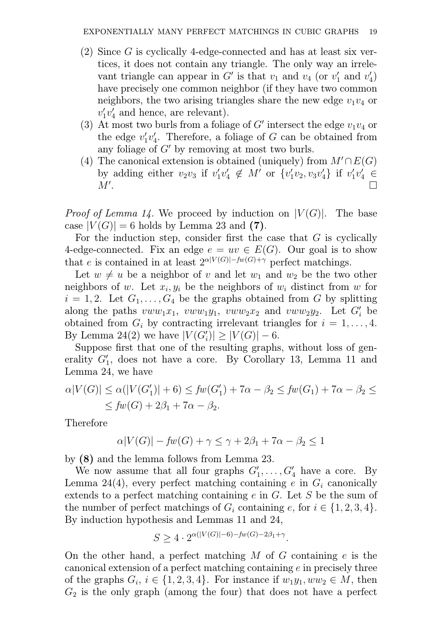- (2) Since G is cyclically 4-edge-connected and has at least six vertices, it does not contain any triangle. The only way an irrelevant triangle can appear in  $G'$  is that  $v_1$  and  $v_4$  (or  $v'_1$  $'_{1}$  and  $v'_{4}$  $\binom{1}{4}$ have precisely one common neighbor (if they have two common neighbors, the two arising triangles share the new edge  $v_1v_4$  or  $v_1'$  $_{1}^{\prime}v_{4}^{\prime}$  $\frac{7}{4}$  and hence, are relevant).
- (3) At most two burls from a foliage of  $G'$  intersect the edge  $v_1v_4$  or the edge  $v_1'$  $_{1}^{\prime}v_{4}^{\prime}$  $\mathcal{L}_4'$ . Therefore, a foliage of G can be obtained from any foliage of  $G'$  by removing at most two burls.
- (4) The canonical extension is obtained (uniquely) from  $M' \cap E(G)$ by adding either  $v_2v_3$  if  $v_1$  $_{1}^{\prime}v_{4}^{\prime}$  $v_4' \not\in M'$  or  $\{v_1'$  $'_{1}v_{2}, v_{3}v'_{4}$  $\{4\}$  if  $v'_1$  $v'_1v'_4 \in$  $M^{\prime}$ . .

*Proof of Lemma 14.* We proceed by induction on  $|V(G)|$ . The base case  $|V(G)| = 6$  holds by Lemma 23 and (7).

For the induction step, consider first the case that  $G$  is cyclically 4-edge-connected. Fix an edge  $e = uv \in E(G)$ . Our goal is to show that e is contained in at least  $2^{\alpha|V(G)|-f_w(G)+\gamma}$  perfect matchings.

Let  $w \neq u$  be a neighbor of v and let  $w_1$  and  $w_2$  be the two other neighbors of w. Let  $x_i, y_i$  be the neighbors of  $w_i$  distinct from w for  $i = 1, 2$ . Let  $G_1, \ldots, G_4$  be the graphs obtained from G by splitting along the paths  $vww_1x_1$ ,  $vww_1y_1$ ,  $vww_2x_2$  and  $vww_2y_2$ . Let  $G'_i$  be obtained from  $G_i$  by contracting irrelevant triangles for  $i = 1, \ldots, 4$ . By Lemma 24(2) we have  $|V(G_i')| \ge |V(G)| - 6$ .

Suppose first that one of the resulting graphs, without loss of generality  $G'_1$ , does not have a core. By Corollary 13, Lemma 11 and Lemma 24, we have

$$
\alpha|V(G)| \le \alpha(|V(G_1')| + 6) \le fw(G_1') + 7\alpha - \beta_2 \le fw(G_1) + 7\alpha - \beta_2 \le
$$
  
 
$$
\le fw(G) + 2\beta_1 + 7\alpha - \beta_2.
$$

Therefore

$$
\alpha|V(G)| - fw(G) + \gamma \le \gamma + 2\beta_1 + 7\alpha - \beta_2 \le 1
$$

by (8) and the lemma follows from Lemma 23.

We now assume that all four graphs  $G'_1, \ldots, G'_4$  have a core. By Lemma 24(4), every perfect matching containing e in  $G_i$  canonically extends to a perfect matching containing e in G. Let S be the sum of the number of perfect matchings of  $G_i$  containing e, for  $i \in \{1, 2, 3, 4\}$ . By induction hypothesis and Lemmas 11 and 24,

$$
S \ge 4 \cdot 2^{\alpha(|V(G)|-6)-fw(G)-2\beta_1+\gamma}.
$$

On the other hand, a perfect matching  $M$  of  $G$  containing  $e$  is the canonical extension of a perfect matching containing  $e$  in precisely three of the graphs  $G_i$ ,  $i \in \{1, 2, 3, 4\}$ . For instance if  $w_1y_1, ww_2 \in M$ , then  $G_2$  is the only graph (among the four) that does not have a perfect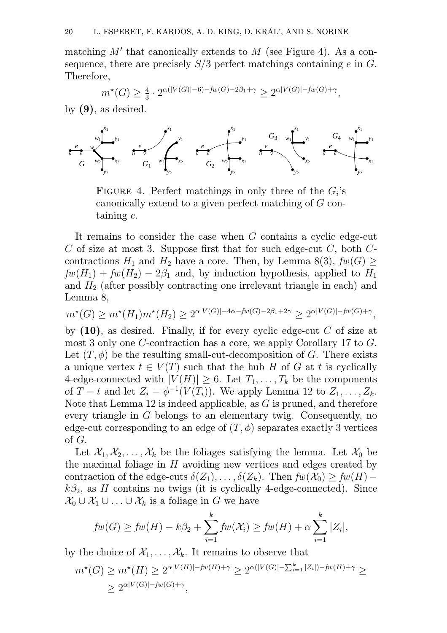matching  $M'$  that canonically extends to  $M$  (see Figure 4). As a consequence, there are precisely  $S/3$  perfect matchings containing e in G. Therefore,

$$
m^*(G) \ge \frac{4}{3} \cdot 2^{\alpha(|V(G)| - 6) - fw(G) - 2\beta_1 + \gamma} \ge 2^{\alpha|V(G)| - fw(G) + \gamma},
$$

by  $(9)$ , as desired.



FIGURE 4. Perfect matchings in only three of the  $G_i$ 's canonically extend to a given perfect matching of G containing e.

It remains to consider the case when G contains a cyclic edge-cut  $C$  of size at most 3. Suppose first that for such edge-cut  $C$ , both  $C$ contractions  $H_1$  and  $H_2$  have a core. Then, by Lemma 8(3),  $fw(G) \ge$  $fw(H_1) + fw(H_2) - 2\beta_1$  and, by induction hypothesis, applied to  $H_1$ and  $H_2$  (after possibly contracting one irrelevant triangle in each) and Lemma 8,

$$
m^*(G) \ge m^*(H_1) m^*(H_2) \ge 2^{\alpha |V(G)| - 4\alpha - f w(G) - 2\beta_1 + 2\gamma} \ge 2^{\alpha |V(G)| - f w(G) + \gamma},
$$

by  $(10)$ , as desired. Finally, if for every cyclic edge-cut C of size at most 3 only one C-contraction has a core, we apply Corollary 17 to G. Let  $(T, \phi)$  be the resulting small-cut-decomposition of G. There exists a unique vertex  $t \in V(T)$  such that the hub H of G at t is cyclically 4-edge-connected with  $|V(H)| \geq 6$ . Let  $T_1, \ldots, T_k$  be the components of  $T - t$  and let  $Z_i = \phi^{-1}(V(T_i))$ . We apply Lemma 12 to  $Z_1, \ldots, Z_k$ . Note that Lemma 12 is indeed applicable, as G is pruned, and therefore every triangle in G belongs to an elementary twig. Consequently, no edge-cut corresponding to an edge of  $(T, \phi)$  separates exactly 3 vertices of G.

Let  $\mathcal{X}_1, \mathcal{X}_2, \ldots, \mathcal{X}_k$  be the foliages satisfying the lemma. Let  $\mathcal{X}_0$  be the maximal foliage in H avoiding new vertices and edges created by contraction of the edge-cuts  $\delta(Z_1), \ldots, \delta(Z_k)$ . Then  $fw(\mathcal{X}_0) \geq fw(H)$  $k\beta_2$ , as H contains no twigs (it is cyclically 4-edge-connected). Since  $\mathcal{X}_0 \cup \mathcal{X}_1 \cup \ldots \cup \mathcal{X}_k$  is a foliage in G we have

$$
fw(G) \ge fw(H) - k\beta_2 + \sum_{i=1}^k fw(\mathcal{X}_i) \ge fw(H) + \alpha \sum_{i=1}^k |Z_i|,
$$

by the choice of  $\mathcal{X}_1, \ldots, \mathcal{X}_k$ . It remains to observe that

$$
m^*(G) \ge m^*(H) \ge 2^{\alpha|V(H)| - fw(H) + \gamma} \ge 2^{\alpha(|V(G)| - \sum_{i=1}^k |Z_i|) - fw(H) + \gamma} \ge
$$
  
 
$$
\ge 2^{\alpha|V(G)| - fw(G) + \gamma},
$$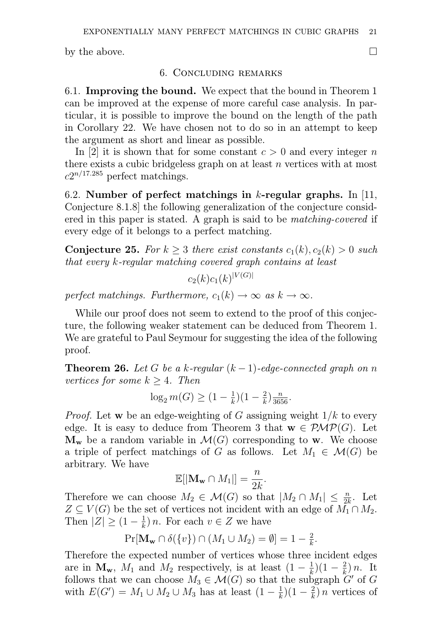by the above.  $\Box$ 

## 6. Concluding remarks

6.1. Improving the bound. We expect that the bound in Theorem 1 can be improved at the expense of more careful case analysis. In particular, it is possible to improve the bound on the length of the path in Corollary 22. We have chosen not to do so in an attempt to keep the argument as short and linear as possible.

In [2] it is shown that for some constant  $c > 0$  and every integer n there exists a cubic bridgeless graph on at least  $n$  vertices with at most  $c2^{n/17.285}$  perfect matchings.

6.2. Number of perfect matchings in  $k$ -regular graphs. In [11, Conjecture 8.1.8] the following generalization of the conjecture considered in this paper is stated. A graph is said to be matching-covered if every edge of it belongs to a perfect matching.

**Conjecture 25.** For  $k \geq 3$  there exist constants  $c_1(k), c_2(k) > 0$  such that every k-regular matching covered graph contains at least

$$
c_2(k)c_1(k)^{|V(G)|}
$$

perfect matchings. Furthermore,  $c_1(k) \rightarrow \infty$  as  $k \rightarrow \infty$ .

While our proof does not seem to extend to the proof of this conjecture, the following weaker statement can be deduced from Theorem 1. We are grateful to Paul Seymour for suggesting the idea of the following proof.

**Theorem 26.** Let G be a k-regular  $(k-1)$ -edge-connected graph on n vertices for some  $k \geq 4$ . Then

$$
\log_2 m(G) \ge (1 - \frac{1}{k})(1 - \frac{2}{k})\frac{n}{3656}.
$$

*Proof.* Let w be an edge-weighting of G assigning weight  $1/k$  to every edge. It is easy to deduce from Theorem 3 that  $\mathbf{w} \in \mathcal{PMP}(G)$ . Let  $\mathbf{M}_{\mathbf{w}}$  be a random variable in  $\mathcal{M}(G)$  corresponding to **w**. We choose a triple of perfect matchings of G as follows. Let  $M_1 \in \mathcal{M}(G)$  be arbitrary. We have

$$
\mathbb{E}[|\mathbf{M}_{\mathbf{w}} \cap M_1|] = \frac{n}{2k}.
$$

Therefore we can choose  $M_2 \in \mathcal{M}(G)$  so that  $|M_2 \cap M_1| \leq \frac{n}{2k}$ . Let  $Z \subseteq V(G)$  be the set of vertices not incident with an edge of  $M_1 \cap M_2$ . Then  $|Z| \geq (1 - \frac{1}{k})$  $(\frac{1}{k}) n$ . For each  $v \in Z$  we have

$$
\Pr[\mathbf{M}_{\mathbf{w}} \cap \delta(\{v\}) \cap (M_1 \cup M_2) = \emptyset] = 1 - \frac{2}{k}.
$$

Therefore the expected number of vertices whose three incident edges are in  $\mathbf{M}_{\mathbf{w}}$ ,  $M_1$  and  $M_2$  respectively, is at least  $(1-\frac{1}{k})$  $(\frac{1}{k})(1 - \frac{2}{k})$  $\frac{2}{k}$  ) n. It follows that we can choose  $M_3 \in \mathcal{M}(G)$  so that the subgraph  $G'$  of  $G$ with  $E(G') = M_1 \cup M_2 \cup M_3$  has at least  $(1 - \frac{1}{k})$  $(\frac{1}{k})(1-\frac{2}{k})$  $\frac{2}{k}$ ) *n* vertices of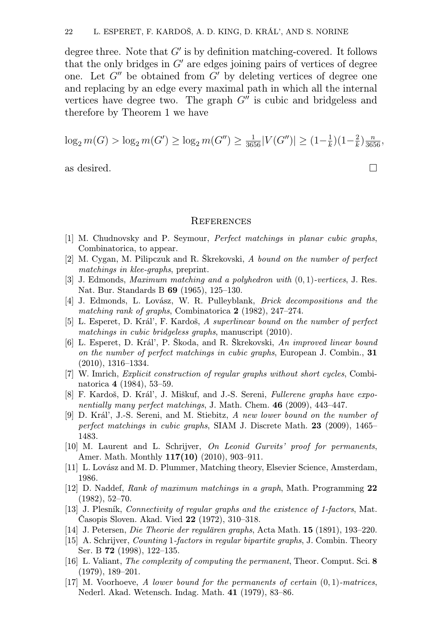degree three. Note that  $G'$  is by definition matching-covered. It follows that the only bridges in  $G'$  are edges joining pairs of vertices of degree one. Let  $G''$  be obtained from  $G'$  by deleting vertices of degree one and replacing by an edge every maximal path in which all the internal vertices have degree two. The graph  $G''$  is cubic and bridgeless and therefore by Theorem 1 we have

$$
\log_2 m(G) > \log_2 m(G') \ge \log_2 m(G'') \ge \frac{1}{3656} |V(G'')| \ge (1 - \frac{1}{k})(1 - \frac{2}{k})\frac{n}{3656},
$$

as desired.  $\Box$ 

#### **REFERENCES**

- [1] M. Chudnovsky and P. Seymour, Perfect matchings in planar cubic graphs, Combinatorica, to appear.
- [2] M. Cygan, M. Pilipczuk and R. Škrekovski, A bound on the number of perfect matchings in klee-graphs, preprint.
- [3] J. Edmonds, *Maximum matching and a polyhedron with*  $(0, 1)$ -vertices, J. Res. Nat. Bur. Standards B 69 (1965), 125–130.
- [4] J. Edmonds, L. Lovász, W. R. Pulleyblank, Brick decompositions and the matching rank of graphs, Combinatorica 2 (1982), 247–274.
- [5] L. Esperet, D. Král', F. Kardoš, A superlinear bound on the number of perfect matchings in cubic bridgeless graphs, manuscript (2010).
- [6] L. Esperet, D. Král', P. Škoda, and R. Škrekovski, An improved linear bound on the number of perfect matchings in cubic graphs, European J. Combin., 31 (2010), 1316–1334.
- [7] W. Imrich, *Explicit construction of regular graphs without short cycles*, Combinatorica 4 (1984), 53–59.
- [8] F. Kardoš, D. Král', J. Miškuf, and J.-S. Sereni, Fullerene graphs have exponentially many perfect matchings, J. Math. Chem.  $46$  (2009), 443–447.
- [9] D. Král', J.-S. Sereni, and M. Stiebitz, A new lower bound on the number of perfect matchings in cubic graphs, SIAM J. Discrete Math. 23 (2009), 1465– 1483.
- [10] M. Laurent and L. Schrijver, On Leonid Gurvits' proof for permanents, Amer. Math. Monthly 117(10) (2010), 903–911.
- [11] L. Lovász and M. D. Plummer, Matching theory, Elsevier Science, Amsterdam, 1986.
- [12] D. Naddef, Rank of maximum matchings in a graph, Math. Programming 22 (1982), 52–70.
- [13] J. Plesník, Connectivity of regular graphs and the existence of 1-factors, Mat. Časopis Sloven. Akad. Vied 22 (1972), 310–318.
- [14] J. Petersen, Die Theorie der regulären graphs, Acta Math. 15 (1891), 193–220.
- [15] A. Schrijver, Counting 1-factors in regular bipartite graphs, J. Combin. Theory Ser. B 72 (1998), 122–135.
- [16] L. Valiant, The complexity of computing the permanent, Theor. Comput. Sci. 8 (1979), 189–201.
- [17] M. Voorhoeve, A lower bound for the permanents of certain  $(0, 1)$ -matrices, Nederl. Akad. Wetensch. Indag. Math. 41 (1979), 83–86.